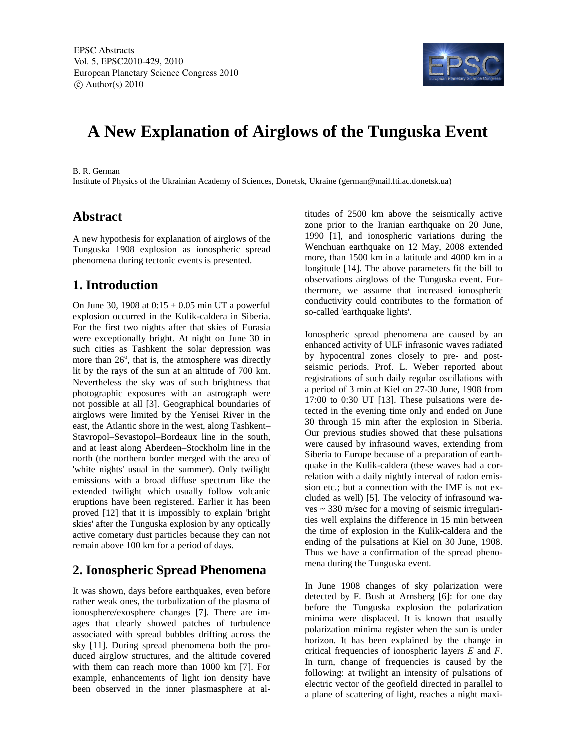

# **A New Explanation of Airglows of the Tunguska Event**

B. R. German

Institute of Physics of the Ukrainian Academy of Sciences, Donetsk, Ukraine (german@mail.fti.ac.donetsk.ua)

#### **Abstract**

A new hypothesis for explanation of airglows of the Tunguska 1908 explosion as ionospheric spread phenomena during tectonic events is presented.

## **1. Introduction**

On June 30, 1908 at  $0.15 \pm 0.05$  min UT a powerful explosion occurred in the Kulik-caldera in Siberia. For the first two nights after that skies of Eurasia were exceptionally bright. At night on June 30 in such cities as Tashkent the solar depression was more than  $26^\circ$ , that is, the atmosphere was directly lit by the rays of the sun at an altitude of 700 km. Nevertheless the sky was of such brightness that photographic exposures with an astrograph were not possible at all [3]. Geographical boundaries of airglows were limited by the Yenisei River in the east, the Atlantic shore in the west, along Tashkent– Stavropol–Sevastopol–Bordeaux line in the south, and at least along Aberdeen–Stockholm line in the north (the northern border merged with the area of 'white nights' usual in the summer). Only twilight emissions with a broad diffuse spectrum like the extended twilight which usually follow volcanic eruptions have been registered. Earlier it has been proved [12] that it is impossibly to explain 'bright skies' after the Tunguska explosion by any optically active cometary dust particles because they can not remain above 100 km for a period of days.

## **2. Ionospheric Spread Phenomena**

It was shown, days before earthquakes, even before rather weak ones, the turbulization of the plasma of ionosphere/exosphere changes [7]. There are images that clearly showed patches of turbulence associated with spread bubbles drifting across the sky [11]. During spread phenomena both the produced airglow structures, and the altitude covered with them can reach more than 1000 km [7]. For example, enhancements of light ion density have been observed in the inner plasmasphere at altitudes of 2500 km above the seismically active zone prior to the Iranian earthquake on 20 June, 1990 [1], and ionospheric variations during the Wenchuan earthquake on 12 May, 2008 extended more, than 1500 km in a latitude and 4000 km in a longitude [14]. The above parameters fit the bill to observations airglows of the Tunguska event. Furthermore, we assume that increased ionospheric conductivity could contributes to the formation of so-called 'earthquake lights'.

Ionospheric spread phenomena are caused by an enhanced activity of ULF infrasonic waves radiated by hypocentral zones closely to pre- and postseismic periods. Prof. L. Weber reported about registrations of such daily regular oscillations with a period of 3 min at Kiel on 27-30 June, 1908 from 17:00 to 0:30 UT [13]. These pulsations were detected in the evening time only and ended on June 30 through 15 min after the explosion in Siberia. Our previous studies showed that these pulsations were caused by infrasound waves, extending from Siberia to Europe because of a preparation of earthquake in the Kulik-caldera (these waves had a correlation with a daily nightly interval of radon emission etc.; but a connection with the IMF is not excluded as well) [5]. The velocity of infrasound waves ~ 330 m/sec for a moving of seismic irregularities well explains the difference in 15 min between the time of explosion in the Kulik-caldera and the ending of the pulsations at Kiel on 30 June, 1908. Thus we have a confirmation of the spread phenomena during the Tunguska event.

In June 1908 changes of sky polarization were detected by F. Bush at Arnsberg [6]: for one day before the Tunguska explosion the polarization minima were displaced. It is known that usually polarization minima register when the sun is under horizon. It has been explained by the change in critical frequencies of ionospheric layers *Е* and *F*. In turn, change of frequencies is caused by the following: at twilight an intensity of pulsations of electric vector of the geofield directed in parallel to a plane of scattering of light, reaches a night maxi